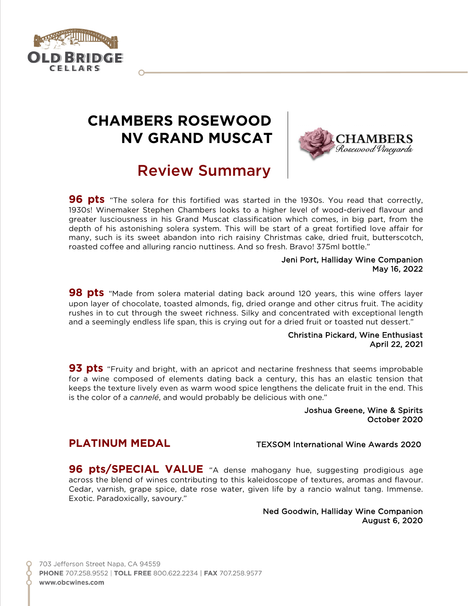

# **CHAMBERS ROSEWOOD NV GRAND MUSCAT**



# Review Summary

**96 pts** "The solera for this fortified was started in the 1930s. You read that correctly, 1930s! Winemaker Stephen Chambers looks to a higher level of wood-derived flavour and greater lusciousness in his Grand Muscat classification which comes, in big part, from the depth of his astonishing solera system. This will be start of a great fortified love affair for many, such is its sweet abandon into rich raisiny Christmas cake, dried fruit, butterscotch, roasted coffee and alluring rancio nuttiness. And so fresh. Bravo! 375ml bottle."

#### Jeni Port, Halliday Wine Companion May 16, 2022

**98 pts** "Made from solera material dating back around 120 years, this wine offers layer upon layer of chocolate, toasted almonds, fig, dried orange and other citrus fruit. The acidity rushes in to cut through the sweet richness. Silky and concentrated with exceptional length and a seemingly endless life span, this is crying out for a dried fruit or toasted nut dessert."

#### Christina Pickard, Wine Enthusiast April 22, 2021

**93 pts** "Fruity and bright, with an apricot and nectarine freshness that seems improbable for a wine composed of elements dating back a century, this has an elastic tension that keeps the texture lively even as warm wood spice lengthens the delicate fruit in the end. This is the color of a *cannelé*, and would probably be delicious with one."

#### Joshua Greene, Wine & Spirits October 2020

## **PLATINUM MEDAL** TEXSOM International Wine Awards 2020

**96 pts/SPECIAL VALUE** "A dense mahogany hue, suggesting prodigious age across the blend of wines contributing to this kaleidoscope of textures, aromas and flavour. Cedar, varnish, grape spice, date rose water, given life by a rancio walnut tang. Immense. Exotic. Paradoxically, savoury."

#### Ned Goodwin, Halliday Wine Companion August 6, 2020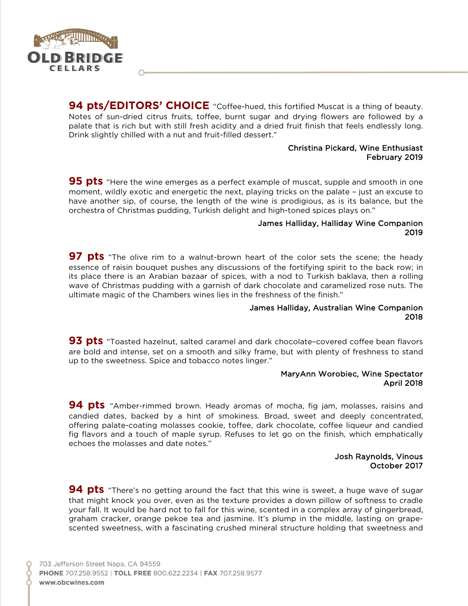

**94 pts/EDITORS' CHOICE** "Coffee-hued, this fortified Muscat is a thing of beauty. Notes of sun-dried citrus fruits, toffee, burnt sugar and drying flowers are followed by a palate that is rich but with still fresh acidity and a dried fruit finish that feels endlessly long. Drink slightly chilled with a nut and fruit-filled dessert."

#### Christina Pickard, Wine Enthusiast February 2019

**95 pts** "Here the wine emerges as a perfect example of muscat, supple and smooth in one moment, wildly exotic and energetic the next, playing tricks on the palate – just an excuse to have another sip, of course, the length of the wine is prodigious, as is its balance, but the orchestra of Christmas pudding, Turkish delight and high-toned spices plays on."

#### James Halliday, Halliday Wine Companion 2019

**97 pts** "The olive rim to a walnut-brown heart of the color sets the scene; the heady essence of raisin bouquet pushes any discussions of the fortifying spirit to the back row; in its place there is an Arabian bazaar of spices, with a nod to Turkish baklava, then a rolling wave of Christmas pudding with a garnish of dark chocolate and caramelized rose nuts. The ultimate magic of the Chambers wines lies in the freshness of the finish."

#### James Halliday, Australian Wine Companion 2018

**93 pts** "Toasted hazelnut, salted caramel and dark chocolate–covered coffee bean flavors are bold and intense, set on a smooth and silky frame, but with plenty of freshness to stand up to the sweetness. Spice and tobacco notes linger."

#### MaryAnn Worobiec, Wine Spectator April 2018

**94 pts** "Amber-rimmed brown. Heady aromas of mocha, fig jam, molasses, raisins and candied dates, backed by a hint of smokiness. Broad, sweet and deeply concentrated, offering palate-coating molasses cookie, toffee, dark chocolate, coffee liqueur and candied fig flavors and a touch of maple syrup. Refuses to let go on the finish, which emphatically echoes the molasses and date notes."

#### Josh Raynolds, Vinous October 2017

**94 pts** "There's no getting around the fact that this wine is sweet, a huge wave of sugar that might knock you over, even as the texture provides a down pillow of softness to cradle your fall. It would be hard not to fall for this wine, scented in a complex array of gingerbread, graham cracker, orange pekoe tea and jasmine. It's plump in the middle, lasting on grapescented sweetness, with a fascinating crushed mineral structure holding that sweetness and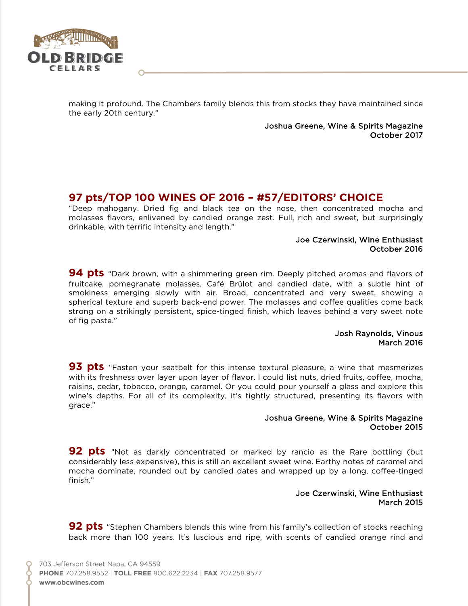

making it profound. The Chambers family blends this from stocks they have maintained since the early 20th century."

> Joshua Greene, Wine & Spirits Magazine October 2017

# **97 pts/TOP 100 WINES OF 2016 – #57/EDITORS' CHOICE**

"Deep mahogany. Dried fig and black tea on the nose, then concentrated mocha and molasses flavors, enlivened by candied orange zest. Full, rich and sweet, but surprisingly drinkable, with terrific intensity and length."

#### Joe Czerwinski, Wine Enthusiast October 2016

**94 pts** "Dark brown, with a shimmering green rim. Deeply pitched aromas and flavors of fruitcake, pomegranate molasses, Café Brûlot and candied date, with a subtle hint of smokiness emerging slowly with air. Broad, concentrated and very sweet, showing a spherical texture and superb back-end power. The molasses and coffee qualities come back strong on a strikingly persistent, spice-tinged finish, which leaves behind a very sweet note of fig paste."

#### Josh Raynolds, Vinous March 2016

**93 pts** "Fasten your seatbelt for this intense textural pleasure, a wine that mesmerizes with its freshness over layer upon layer of flavor. I could list nuts, dried fruits, coffee, mocha, raisins, cedar, tobacco, orange, caramel. Or you could pour yourself a glass and explore this wine's depths. For all of its complexity, it's tightly structured, presenting its flavors with grace."

#### Joshua Greene, Wine & Spirits Magazine October 2015

**92 pts** "Not as darkly concentrated or marked by rancio as the Rare bottling (but considerably less expensive), this is still an excellent sweet wine. Earthy notes of caramel and mocha dominate, rounded out by candied dates and wrapped up by a long, coffee-tinged finish."

#### Joe Czerwinski, Wine Enthusiast March 2015

**92 pts** "Stephen Chambers blends this wine from his family's collection of stocks reaching back more than 100 years. It's luscious and ripe, with scents of candied orange rind and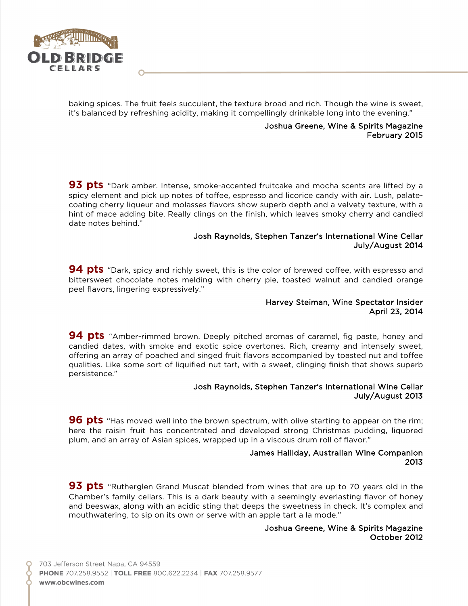

baking spices. The fruit feels succulent, the texture broad and rich. Though the wine is sweet, it's balanced by refreshing acidity, making it compellingly drinkable long into the evening."

#### Joshua Greene, Wine & Spirits Magazine February 2015

**93 pts** "Dark amber. Intense, smoke-accented fruitcake and mocha scents are lifted by a spicy element and pick up notes of toffee, espresso and licorice candy with air. Lush, palatecoating cherry liqueur and molasses flavors show superb depth and a velvety texture, with a hint of mace adding bite. Really clings on the finish, which leaves smoky cherry and candied date notes behind."

#### Josh Raynolds, Stephen Tanzer's International Wine Cellar July/August 2014

**94 pts** "Dark, spicy and richly sweet, this is the color of brewed coffee, with espresso and bittersweet chocolate notes melding with cherry pie, toasted walnut and candied orange peel flavors, lingering expressively."

#### Harvey Steiman, Wine Spectator Insider April 23, 2014

**94 pts** "Amber-rimmed brown. Deeply pitched aromas of caramel, fig paste, honey and candied dates, with smoke and exotic spice overtones. Rich, creamy and intensely sweet, offering an array of poached and singed fruit flavors accompanied by toasted nut and toffee qualities. Like some sort of liquified nut tart, with a sweet, clinging finish that shows superb persistence."

#### Josh Raynolds, Stephen Tanzer's International Wine Cellar July/August 2013

**96 pts** "Has moved well into the brown spectrum, with olive starting to appear on the rim; here the raisin fruit has concentrated and developed strong Christmas pudding, liquored plum, and an array of Asian spices, wrapped up in a viscous drum roll of flavor."

#### James Halliday, Australian Wine Companion 2013

**93 pts** "Rutherglen Grand Muscat blended from wines that are up to 70 years old in the Chamber's family cellars. This is a dark beauty with a seemingly everlasting flavor of honey and beeswax, along with an acidic sting that deeps the sweetness in check. It's complex and mouthwatering, to sip on its own or serve with an apple tart a la mode."

#### Joshua Greene, Wine & Spirits Magazine October 2012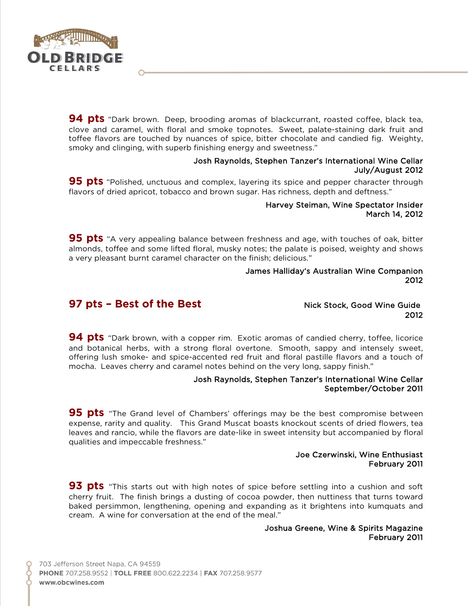

**94 pts** "Dark brown. Deep, brooding aromas of blackcurrant, roasted coffee, black tea, clove and caramel, with floral and smoke topnotes. Sweet, palate-staining dark fruit and toffee flavors are touched by nuances of spice, bitter chocolate and candied fig. Weighty, smoky and clinging, with superb finishing energy and sweetness."

#### Josh Raynolds, Stephen Tanzer's International Wine Cellar July/August 2012

**95 pts** "Polished, unctuous and complex, layering its spice and pepper character through flavors of dried apricot, tobacco and brown sugar. Has richness, depth and deftness."

#### Harvey Steiman, Wine Spectator Insider March 14, 2012

**95 pts** "A very appealing balance between freshness and age, with touches of oak, bitter almonds, toffee and some lifted floral, musky notes; the palate is poised, weighty and shows a very pleasant burnt caramel character on the finish; delicious."

#### James Halliday's Australian Wine Companion 2012

## **97 pts – Best of the Best Exercise 2018** Nick Stock, Good Wine Guide

2012

**94 pts** "Dark brown, with a copper rim. Exotic aromas of candied cherry, toffee, licorice and botanical herbs, with a strong floral overtone. Smooth, sappy and intensely sweet, offering lush smoke- and spice-accented red fruit and floral pastille flavors and a touch of mocha. Leaves cherry and caramel notes behind on the very long, sappy finish."

#### Josh Raynolds, Stephen Tanzer's International Wine Cellar September/October 2011

**95 pts** "The Grand level of Chambers' offerings may be the best compromise between expense, rarity and quality. This Grand Muscat boasts knockout scents of dried flowers, tea leaves and rancio, while the flavors are date-like in sweet intensity but accompanied by floral qualities and impeccable freshness."

#### Joe Czerwinski, Wine Enthusiast February 2011

**93 pts** "This starts out with high notes of spice before settling into a cushion and soft cherry fruit. The finish brings a dusting of cocoa powder, then nuttiness that turns toward baked persimmon, lengthening, opening and expanding as it brightens into kumquats and cream. A wine for conversation at the end of the meal."

#### Joshua Greene, Wine & Spirits Magazine February 2011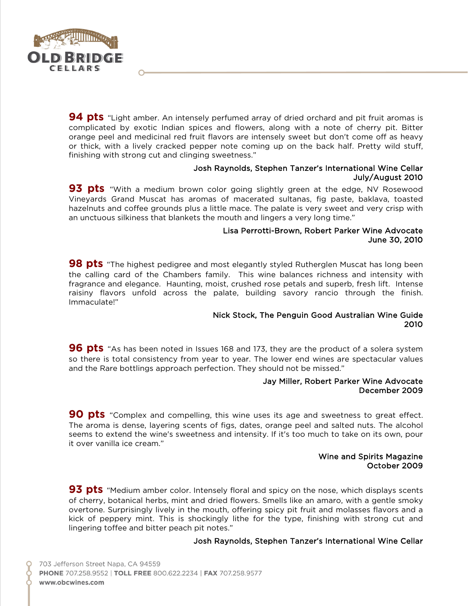

**94 pts** "Light amber. An intensely perfumed array of dried orchard and pit fruit aromas is complicated by exotic Indian spices and flowers, along with a note of cherry pit. Bitter orange peel and medicinal red fruit flavors are intensely sweet but don't come off as heavy or thick, with a lively cracked pepper note coming up on the back half. Pretty wild stuff, finishing with strong cut and clinging sweetness."

#### Josh Raynolds, Stephen Tanzer's International Wine Cellar July/August 2010

**93 pts** "With a medium brown color going slightly green at the edge, NV Rosewood Vineyards Grand Muscat has aromas of macerated sultanas, fig paste, baklava, toasted hazelnuts and coffee grounds plus a little mace. The palate is very sweet and very crisp with an unctuous silkiness that blankets the mouth and lingers a very long time."

#### Lisa Perrotti-Brown, Robert Parker Wine Advocate June 30, 2010

**98 pts** "The highest pedigree and most elegantly styled Rutherglen Muscat has long been the calling card of the Chambers family. This wine balances richness and intensity with fragrance and elegance. Haunting, moist, crushed rose petals and superb, fresh lift. Intense raisiny flavors unfold across the palate, building savory rancio through the finish. Immaculate!"

#### Nick Stock, The Penguin Good Australian Wine Guide 2010

**96 pts** "As has been noted in Issues 168 and 173, they are the product of a solera system so there is total consistency from year to year. The lower end wines are spectacular values and the Rare bottlings approach perfection. They should not be missed."

#### Jay Miller, Robert Parker Wine Advocate December 2009

**90 pts** "Complex and compelling, this wine uses its age and sweetness to great effect. The aroma is dense, layering scents of figs, dates, orange peel and salted nuts. The alcohol seems to extend the wine's sweetness and intensity. If it's too much to take on its own, pour it over vanilla ice cream."

#### Wine and Spirits Magazine October 2009

**93 pts** "Medium amber color. Intensely floral and spicy on the nose, which displays scents of cherry, botanical herbs, mint and dried flowers. Smells like an amaro, with a gentle smoky overtone. Surprisingly lively in the mouth, offering spicy pit fruit and molasses flavors and a kick of peppery mint. This is shockingly lithe for the type, finishing with strong cut and lingering toffee and bitter peach pit notes."

#### Josh Raynolds, Stephen Tanzer's International Wine Cellar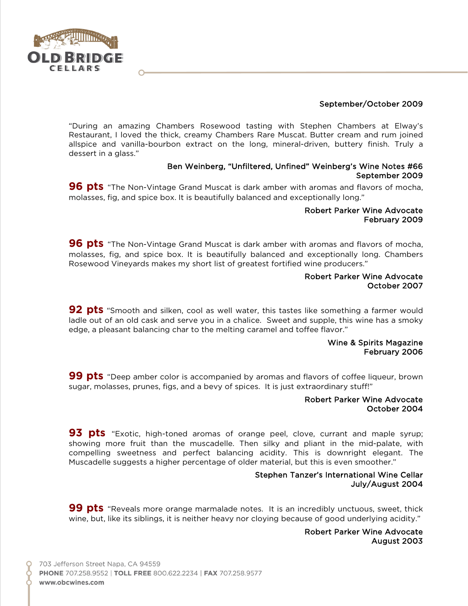

### September/October 2009

"During an amazing Chambers Rosewood tasting with Stephen Chambers at Elway's Restaurant, I loved the thick, creamy Chambers Rare Muscat. Butter cream and rum joined allspice and vanilla-bourbon extract on the long, mineral-driven, buttery finish. Truly a dessert in a glass."

#### Ben Weinberg, "Unfiltered, Unfined" Weinberg's Wine Notes #66 September 2009

**96 pts** "The Non-Vintage Grand Muscat is dark amber with aromas and flavors of mocha, molasses, fig, and spice box. It is beautifully balanced and exceptionally long."

#### Robert Parker Wine Advocate February 2009

**96 pts** "The Non-Vintage Grand Muscat is dark amber with aromas and flavors of mocha, molasses, fig, and spice box. It is beautifully balanced and exceptionally long. Chambers Rosewood Vineyards makes my short list of greatest fortified wine producers."

#### Robert Parker Wine Advocate October 2007

**92 pts** "Smooth and silken, cool as well water, this tastes like something a farmer would ladle out of an old cask and serve you in a chalice. Sweet and supple, this wine has a smoky edge, a pleasant balancing char to the melting caramel and toffee flavor."

#### Wine & Spirits Magazine February 2006

**99 pts** "Deep amber color is accompanied by aromas and flavors of coffee liqueur, brown sugar, molasses, prunes, figs, and a bevy of spices. It is just extraordinary stuff!"

#### Robert Parker Wine Advocate October 2004

**93 pts** "Exotic, high-toned aromas of orange peel, clove, currant and maple syrup; showing more fruit than the muscadelle. Then silky and pliant in the mid-palate, with compelling sweetness and perfect balancing acidity. This is downright elegant. The Muscadelle suggests a higher percentage of older material, but this is even smoother."

#### Stephen Tanzer's International Wine Cellar July/August 2004

**99 pts** "Reveals more orange marmalade notes. It is an incredibly unctuous, sweet, thick wine, but, like its siblings, it is neither heavy nor cloying because of good underlying acidity."

#### Robert Parker Wine Advocate August 2003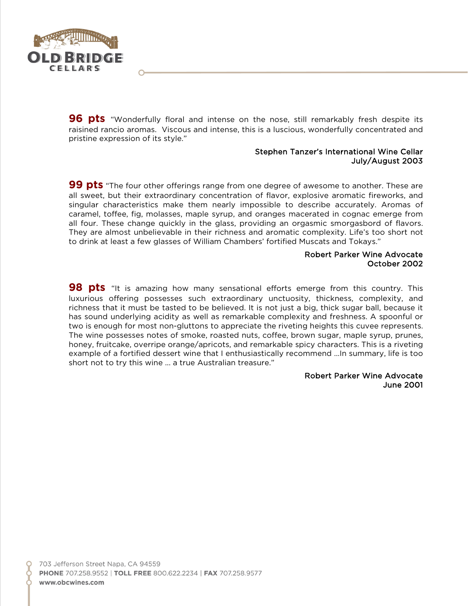

**96 pts** "Wonderfully floral and intense on the nose, still remarkably fresh despite its raisined rancio aromas. Viscous and intense, this is a luscious, wonderfully concentrated and pristine expression of its style."

#### Stephen Tanzer's International Wine Cellar July/August 2003

**99 pts** "The four other offerings range from one degree of awesome to another. These are all sweet, but their extraordinary concentration of flavor, explosive aromatic fireworks, and singular characteristics make them nearly impossible to describe accurately. Aromas of caramel, toffee, fig, molasses, maple syrup, and oranges macerated in cognac emerge from all four. These change quickly in the glass, providing an orgasmic smorgasbord of flavors. They are almost unbelievable in their richness and aromatic complexity. Life's too short not to drink at least a few glasses of William Chambers' fortified Muscats and Tokays."

#### Robert Parker Wine Advocate October 2002

**98 pts** "It is amazing how many sensational efforts emerge from this country. This luxurious offering possesses such extraordinary unctuosity, thickness, complexity, and richness that it must be tasted to be believed. It is not just a big, thick sugar ball, because it has sound underlying acidity as well as remarkable complexity and freshness. A spoonful or two is enough for most non-gluttons to appreciate the riveting heights this cuvee represents. The wine possesses notes of smoke, roasted nuts, coffee, brown sugar, maple syrup, prunes, honey, fruitcake, overripe orange/apricots, and remarkable spicy characters. This is a riveting example of a fortified dessert wine that I enthusiastically recommend …In summary, life is too short not to try this wine ... a true Australian treasure."

#### Robert Parker Wine Advocate June 2001